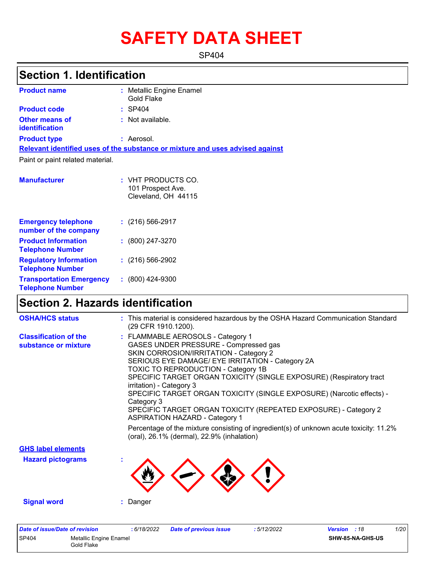# **SAFETY DATA SHEET**

SP404

### **Section 1. Identification**

| <b>Product name</b>                                 | : Metallic Engine Enamel<br>Gold Flake                                        |  |
|-----------------------------------------------------|-------------------------------------------------------------------------------|--|
| <b>Product code</b>                                 | : SP404                                                                       |  |
| Other means of<br>identification                    | $:$ Not available.                                                            |  |
| <b>Product type</b>                                 | : Aerosol.                                                                    |  |
|                                                     | Relevant identified uses of the substance or mixture and uses advised against |  |
| Paint or paint related material.                    |                                                                               |  |
| <b>Manufacturer</b>                                 | : VHT PRODUCTS CO.<br>101 Prospect Ave.<br>Cleveland, OH 44115                |  |
| <b>Emergency telephone</b><br>number of the company | $(216)$ 566-2917                                                              |  |

| number of the company                                      |                      |
|------------------------------------------------------------|----------------------|
| <b>Product Information</b><br><b>Telephone Number</b>      | $: (800) 247 - 3270$ |
| <b>Regulatory Information</b><br><b>Telephone Number</b>   | $(216)$ 566-2902     |
| <b>Transportation Emergency</b><br><b>Telephone Number</b> | $: (800)$ 424-9300   |

### **Section 2. Hazards identification**

| <b>OSHA/HCS status</b>                               | : This material is considered hazardous by the OSHA Hazard Communication Standard<br>(29 CFR 1910.1200).                                                                                                                                                                                                                                                                                                                                                                                                                                                                                                                                                      |
|------------------------------------------------------|---------------------------------------------------------------------------------------------------------------------------------------------------------------------------------------------------------------------------------------------------------------------------------------------------------------------------------------------------------------------------------------------------------------------------------------------------------------------------------------------------------------------------------------------------------------------------------------------------------------------------------------------------------------|
| <b>Classification of the</b><br>substance or mixture | : FLAMMABLE AEROSOLS - Category 1<br>GASES UNDER PRESSURE - Compressed gas<br>SKIN CORROSION/IRRITATION - Category 2<br>SERIOUS EYE DAMAGE/ EYE IRRITATION - Category 2A<br>TOXIC TO REPRODUCTION - Category 1B<br>SPECIFIC TARGET ORGAN TOXICITY (SINGLE EXPOSURE) (Respiratory tract<br>irritation) - Category 3<br>SPECIFIC TARGET ORGAN TOXICITY (SINGLE EXPOSURE) (Narcotic effects) -<br>Category 3<br>SPECIFIC TARGET ORGAN TOXICITY (REPEATED EXPOSURE) - Category 2<br><b>ASPIRATION HAZARD - Category 1</b><br>Percentage of the mixture consisting of ingredient(s) of unknown acute toxicity: 11.2%<br>(oral), 26.1% (dermal), 22.9% (inhalation) |
| <b>GHS label elements</b>                            |                                                                                                                                                                                                                                                                                                                                                                                                                                                                                                                                                                                                                                                               |
| <b>Hazard pictograms</b>                             |                                                                                                                                                                                                                                                                                                                                                                                                                                                                                                                                                                                                                                                               |
| <b>Signal word</b>                                   | : Danger                                                                                                                                                                                                                                                                                                                                                                                                                                                                                                                                                                                                                                                      |
| Data of incurs/Data of variation                     | 1/2<br>0.0100000<br>. <i>E</i> 149/9099<br>$\frac{1}{2}$<br>Data af nussiassa iaassa.                                                                                                                                                                                                                                                                                                                                                                                                                                                                                                                                                                         |

| Date of issue/Date of revision |                                      | : 6/18/2022 | <b>Date of previous issue</b> | 5/12/2022 | <b>Version</b> : 18 |                         | 1/20 |
|--------------------------------|--------------------------------------|-------------|-------------------------------|-----------|---------------------|-------------------------|------|
| <b>SP404</b>                   | Metallic Engine Enamel<br>Gold Flake |             |                               |           |                     | <b>SHW-85-NA-GHS-US</b> |      |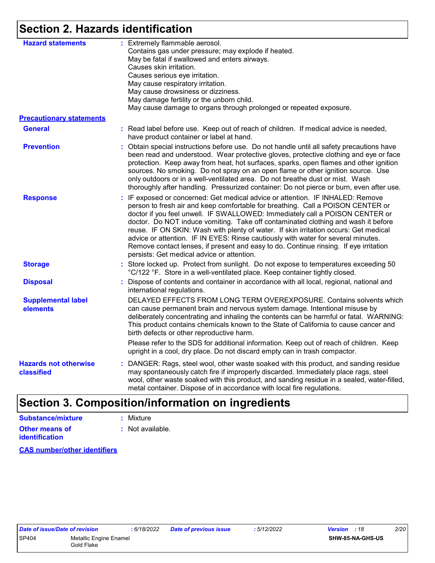### **Section 2. Hazards identification**

| <b>Hazard statements</b>                   | : Extremely flammable aerosol.<br>Contains gas under pressure; may explode if heated.<br>May be fatal if swallowed and enters airways.<br>Causes skin irritation.<br>Causes serious eye irritation.<br>May cause respiratory irritation.<br>May cause drowsiness or dizziness.<br>May damage fertility or the unborn child.<br>May cause damage to organs through prolonged or repeated exposure.                                                                                                                                                                                                                                                          |  |
|--------------------------------------------|------------------------------------------------------------------------------------------------------------------------------------------------------------------------------------------------------------------------------------------------------------------------------------------------------------------------------------------------------------------------------------------------------------------------------------------------------------------------------------------------------------------------------------------------------------------------------------------------------------------------------------------------------------|--|
| <b>Precautionary statements</b>            |                                                                                                                                                                                                                                                                                                                                                                                                                                                                                                                                                                                                                                                            |  |
| <b>General</b>                             | : Read label before use. Keep out of reach of children. If medical advice is needed,<br>have product container or label at hand.                                                                                                                                                                                                                                                                                                                                                                                                                                                                                                                           |  |
| <b>Prevention</b>                          | : Obtain special instructions before use. Do not handle until all safety precautions have<br>been read and understood. Wear protective gloves, protective clothing and eye or face<br>protection. Keep away from heat, hot surfaces, sparks, open flames and other ignition<br>sources. No smoking. Do not spray on an open flame or other ignition source. Use<br>only outdoors or in a well-ventilated area. Do not breathe dust or mist. Wash<br>thoroughly after handling. Pressurized container: Do not pierce or burn, even after use.                                                                                                               |  |
| <b>Response</b>                            | : IF exposed or concerned: Get medical advice or attention. IF INHALED: Remove<br>person to fresh air and keep comfortable for breathing. Call a POISON CENTER or<br>doctor if you feel unwell. IF SWALLOWED: Immediately call a POISON CENTER or<br>doctor. Do NOT induce vomiting. Take off contaminated clothing and wash it before<br>reuse. IF ON SKIN: Wash with plenty of water. If skin irritation occurs: Get medical<br>advice or attention. IF IN EYES: Rinse cautiously with water for several minutes.<br>Remove contact lenses, if present and easy to do. Continue rinsing. If eye irritation<br>persists: Get medical advice or attention. |  |
| <b>Storage</b>                             | : Store locked up. Protect from sunlight. Do not expose to temperatures exceeding 50<br>°C/122 °F. Store in a well-ventilated place. Keep container tightly closed.                                                                                                                                                                                                                                                                                                                                                                                                                                                                                        |  |
| <b>Disposal</b>                            | : Dispose of contents and container in accordance with all local, regional, national and<br>international regulations.                                                                                                                                                                                                                                                                                                                                                                                                                                                                                                                                     |  |
| <b>Supplemental label</b><br>elements      | DELAYED EFFECTS FROM LONG TERM OVEREXPOSURE. Contains solvents which<br>can cause permanent brain and nervous system damage. Intentional misuse by<br>deliberately concentrating and inhaling the contents can be harmful or fatal. WARNING:<br>This product contains chemicals known to the State of California to cause cancer and<br>birth defects or other reproductive harm.                                                                                                                                                                                                                                                                          |  |
|                                            | Please refer to the SDS for additional information. Keep out of reach of children. Keep<br>upright in a cool, dry place. Do not discard empty can in trash compactor.                                                                                                                                                                                                                                                                                                                                                                                                                                                                                      |  |
| <b>Hazards not otherwise</b><br>classified | : DANGER: Rags, steel wool, other waste soaked with this product, and sanding residue<br>may spontaneously catch fire if improperly discarded. Immediately place rags, steel<br>wool, other waste soaked with this product, and sanding residue in a sealed, water-filled,<br>metal container. Dispose of in accordance with local fire regulations.                                                                                                                                                                                                                                                                                                       |  |

### **Section 3. Composition/information on ingredients**

| <b>Substance/mixture</b>                       | : Mixture        |
|------------------------------------------------|------------------|
| <b>Other means of</b><br><b>identification</b> | : Not available. |
|                                                |                  |

**CAS number/other identifiers**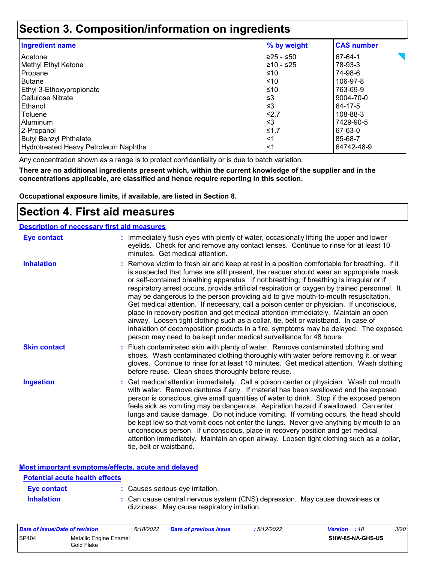### **Section 3. Composition/information on ingredients**

| <b>Ingredient name</b>               | % by weight | <b>CAS number</b> |
|--------------------------------------|-------------|-------------------|
| Acetone                              | l≥25 - ≤50  | 67-64-1           |
| Methyl Ethyl Ketone                  | l≥10 - ≤25  | 78-93-3           |
| Propane                              | ≤10         | 74-98-6           |
| <b>Butane</b>                        | ≤10         | 106-97-8          |
| Ethyl 3-Ethoxypropionate             | ≤10         | 763-69-9          |
| <b>Cellulose Nitrate</b>             | ՝≤3         | 9004-70-0         |
| Ethanol                              | ՝≤3         | 64-17-5           |
| Toluene                              | $\leq 2.7$  | 108-88-3          |
| Aluminum                             | $\leq$ 3    | 7429-90-5         |
| 2-Propanol                           | ≤1.7        | 67-63-0           |
| <b>Butyl Benzyl Phthalate</b>        | $<$ 1       | 85-68-7           |
| Hydrotreated Heavy Petroleum Naphtha | <1          | 64742-48-9        |

Any concentration shown as a range is to protect confidentiality or is due to batch variation.

**There are no additional ingredients present which, within the current knowledge of the supplier and in the concentrations applicable, are classified and hence require reporting in this section.**

**Occupational exposure limits, if available, are listed in Section 8.**

### **Section 4. First aid measures**

| <b>Description of necessary first aid measures</b> |                                                                                                                                                                                                                                                                                                                                                                                                                                                                                                                                                                                                                                                                                                                                                                                                                                                                                                                |
|----------------------------------------------------|----------------------------------------------------------------------------------------------------------------------------------------------------------------------------------------------------------------------------------------------------------------------------------------------------------------------------------------------------------------------------------------------------------------------------------------------------------------------------------------------------------------------------------------------------------------------------------------------------------------------------------------------------------------------------------------------------------------------------------------------------------------------------------------------------------------------------------------------------------------------------------------------------------------|
| <b>Eye contact</b>                                 | : Immediately flush eyes with plenty of water, occasionally lifting the upper and lower<br>eyelids. Check for and remove any contact lenses. Continue to rinse for at least 10<br>minutes. Get medical attention.                                                                                                                                                                                                                                                                                                                                                                                                                                                                                                                                                                                                                                                                                              |
| <b>Inhalation</b>                                  | : Remove victim to fresh air and keep at rest in a position comfortable for breathing. If it<br>is suspected that fumes are still present, the rescuer should wear an appropriate mask<br>or self-contained breathing apparatus. If not breathing, if breathing is irregular or if<br>respiratory arrest occurs, provide artificial respiration or oxygen by trained personnel. It<br>may be dangerous to the person providing aid to give mouth-to-mouth resuscitation.<br>Get medical attention. If necessary, call a poison center or physician. If unconscious,<br>place in recovery position and get medical attention immediately. Maintain an open<br>airway. Loosen tight clothing such as a collar, tie, belt or waistband. In case of<br>inhalation of decomposition products in a fire, symptoms may be delayed. The exposed<br>person may need to be kept under medical surveillance for 48 hours. |
| <b>Skin contact</b>                                | : Flush contaminated skin with plenty of water. Remove contaminated clothing and<br>shoes. Wash contaminated clothing thoroughly with water before removing it, or wear<br>gloves. Continue to rinse for at least 10 minutes. Get medical attention. Wash clothing<br>before reuse. Clean shoes thoroughly before reuse.                                                                                                                                                                                                                                                                                                                                                                                                                                                                                                                                                                                       |
| <b>Ingestion</b>                                   | : Get medical attention immediately. Call a poison center or physician. Wash out mouth<br>with water. Remove dentures if any. If material has been swallowed and the exposed<br>person is conscious, give small quantities of water to drink. Stop if the exposed person<br>feels sick as vomiting may be dangerous. Aspiration hazard if swallowed. Can enter<br>lungs and cause damage. Do not induce vomiting. If vomiting occurs, the head should<br>be kept low so that vomit does not enter the lungs. Never give anything by mouth to an<br>unconscious person. If unconscious, place in recovery position and get medical<br>attention immediately. Maintain an open airway. Loosen tight clothing such as a collar,<br>tie, belt or waistband.                                                                                                                                                        |

**Most important symptoms/effects, acute and delayed**

| <b>Potential acute health effects</b> |                                                                                                                              |
|---------------------------------------|------------------------------------------------------------------------------------------------------------------------------|
| Eye contact                           | : Causes serious eye irritation.                                                                                             |
| <b>Inhalation</b>                     | : Can cause central nervous system (CNS) depression. May cause drowsiness or<br>dizziness. May cause respiratory irritation. |

| Date of issue/Date of revision |                                      | 6/18/2022 | <b>Date of previous issue</b> | : 5/12/2022 | <b>Version</b> : 18 |                  | <i>3/20</i> |
|--------------------------------|--------------------------------------|-----------|-------------------------------|-------------|---------------------|------------------|-------------|
| <b>SP404</b>                   | Metallic Engine Enamel<br>Gold Flake |           |                               |             |                     | SHW-85-NA-GHS-US |             |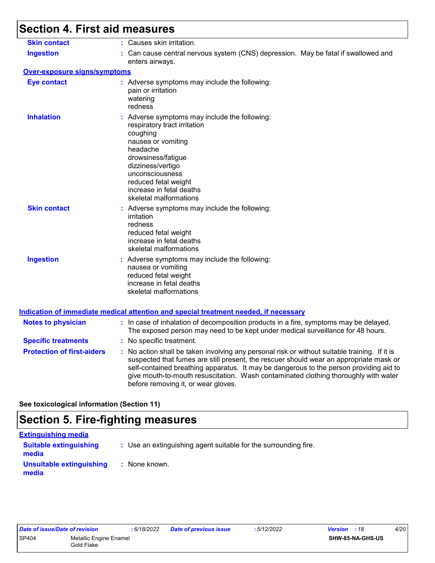# **Section 4. First aid measures**

| <b>Skin contact</b>               | : Causes skin irritation.                                                                                                                                                                                                                                                                                                                                                                                       |
|-----------------------------------|-----------------------------------------------------------------------------------------------------------------------------------------------------------------------------------------------------------------------------------------------------------------------------------------------------------------------------------------------------------------------------------------------------------------|
| <b>Ingestion</b>                  | : Can cause central nervous system (CNS) depression. May be fatal if swallowed and<br>enters airways.                                                                                                                                                                                                                                                                                                           |
| Over-exposure signs/symptoms      |                                                                                                                                                                                                                                                                                                                                                                                                                 |
| <b>Eye contact</b>                | : Adverse symptoms may include the following:<br>pain or irritation<br>watering<br>redness                                                                                                                                                                                                                                                                                                                      |
| <b>Inhalation</b>                 | : Adverse symptoms may include the following:<br>respiratory tract irritation<br>coughing<br>nausea or vomiting<br>headache<br>drowsiness/fatigue<br>dizziness/vertigo<br>unconsciousness<br>reduced fetal weight<br>increase in fetal deaths<br>skeletal malformations                                                                                                                                         |
| <b>Skin contact</b>               | : Adverse symptoms may include the following:<br>irritation<br>redness<br>reduced fetal weight<br>increase in fetal deaths<br>skeletal malformations                                                                                                                                                                                                                                                            |
| <b>Ingestion</b>                  | : Adverse symptoms may include the following:<br>nausea or vomiting<br>reduced fetal weight<br>increase in fetal deaths<br>skeletal malformations<br><u>Indication of immediate medical attention and special treatment needed, if necessary</u>                                                                                                                                                                |
|                                   |                                                                                                                                                                                                                                                                                                                                                                                                                 |
| <b>Notes to physician</b>         | : In case of inhalation of decomposition products in a fire, symptoms may be delayed.<br>The exposed person may need to be kept under medical surveillance for 48 hours.                                                                                                                                                                                                                                        |
| <b>Specific treatments</b>        | : No specific treatment.                                                                                                                                                                                                                                                                                                                                                                                        |
| <b>Protection of first-aiders</b> | : No action shall be taken involving any personal risk or without suitable training. If it is<br>suspected that fumes are still present, the rescuer should wear an appropriate mask or<br>self-contained breathing apparatus. It may be dangerous to the person providing aid to<br>give mouth-to-mouth resuscitation. Wash contaminated clothing thoroughly with water<br>before removing it, or wear gloves. |

**See toxicological information (Section 11)**

### **Section 5. Fire-fighting measures**

| <b>Extinguishing media</b>             |                                                                 |
|----------------------------------------|-----------------------------------------------------------------|
| <b>Suitable extinguishing</b><br>media | : Use an extinguishing agent suitable for the surrounding fire. |
| Unsuitable extinguishing<br>media      | : None known.                                                   |

| Date of issue/Date of revision |                                      | :6/1 |
|--------------------------------|--------------------------------------|------|
| SP404                          | Metallic Engine Enamel<br>Gold Flake |      |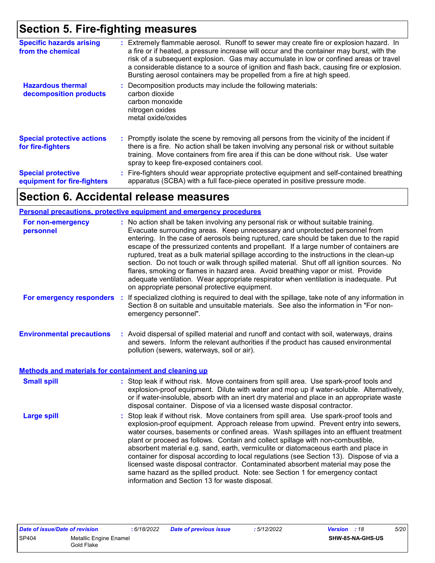### **Section 5. Fire-fighting measures**

| <b>Specific hazards arising</b><br>from the chemical     | : Extremely flammable aerosol. Runoff to sewer may create fire or explosion hazard. In<br>a fire or if heated, a pressure increase will occur and the container may burst, with the<br>risk of a subsequent explosion. Gas may accumulate in low or confined areas or travel<br>a considerable distance to a source of ignition and flash back, causing fire or explosion.<br>Bursting aerosol containers may be propelled from a fire at high speed. |
|----------------------------------------------------------|-------------------------------------------------------------------------------------------------------------------------------------------------------------------------------------------------------------------------------------------------------------------------------------------------------------------------------------------------------------------------------------------------------------------------------------------------------|
| <b>Hazardous thermal</b><br>decomposition products       | : Decomposition products may include the following materials:<br>carbon dioxide<br>carbon monoxide<br>nitrogen oxides<br>metal oxide/oxides                                                                                                                                                                                                                                                                                                           |
| <b>Special protective actions</b><br>for fire-fighters   | : Promptly isolate the scene by removing all persons from the vicinity of the incident if<br>there is a fire. No action shall be taken involving any personal risk or without suitable<br>training. Move containers from fire area if this can be done without risk. Use water<br>spray to keep fire-exposed containers cool.                                                                                                                         |
| <b>Special protective</b><br>equipment for fire-fighters | : Fire-fighters should wear appropriate protective equipment and self-contained breathing<br>apparatus (SCBA) with a full face-piece operated in positive pressure mode.                                                                                                                                                                                                                                                                              |

### **Section 6. Accidental release measures**

#### **Personal precautions, protective equipment and emergency procedures**

| For non-emergency<br>personnel                               | : No action shall be taken involving any personal risk or without suitable training.<br>Evacuate surrounding areas. Keep unnecessary and unprotected personnel from<br>entering. In the case of aerosols being ruptured, care should be taken due to the rapid<br>escape of the pressurized contents and propellant. If a large number of containers are<br>ruptured, treat as a bulk material spillage according to the instructions in the clean-up<br>section. Do not touch or walk through spilled material. Shut off all ignition sources. No<br>flares, smoking or flames in hazard area. Avoid breathing vapor or mist. Provide<br>adequate ventilation. Wear appropriate respirator when ventilation is inadequate. Put<br>on appropriate personal protective equipment. |
|--------------------------------------------------------------|----------------------------------------------------------------------------------------------------------------------------------------------------------------------------------------------------------------------------------------------------------------------------------------------------------------------------------------------------------------------------------------------------------------------------------------------------------------------------------------------------------------------------------------------------------------------------------------------------------------------------------------------------------------------------------------------------------------------------------------------------------------------------------|
| For emergency responders :                                   | If specialized clothing is required to deal with the spillage, take note of any information in<br>Section 8 on suitable and unsuitable materials. See also the information in "For non-<br>emergency personnel".                                                                                                                                                                                                                                                                                                                                                                                                                                                                                                                                                                 |
| <b>Environmental precautions</b>                             | : Avoid dispersal of spilled material and runoff and contact with soil, waterways, drains<br>and sewers. Inform the relevant authorities if the product has caused environmental<br>pollution (sewers, waterways, soil or air).                                                                                                                                                                                                                                                                                                                                                                                                                                                                                                                                                  |
| <b>Methods and materials for containment and cleaning up</b> |                                                                                                                                                                                                                                                                                                                                                                                                                                                                                                                                                                                                                                                                                                                                                                                  |
| <b>Small spill</b>                                           | : Stop leak if without risk. Move containers from spill area. Use spark-proof tools and<br>explosion-proof equipment. Dilute with water and mop up if water-soluble. Alternatively,<br>or if water-insoluble, absorb with an inert dry material and place in an appropriate waste<br>disposal container. Dispose of via a licensed waste disposal contractor.                                                                                                                                                                                                                                                                                                                                                                                                                    |
| <b>Large spill</b>                                           | : Stop leak if without risk. Move containers from spill area. Use spark-proof tools and<br>explosion-proof equipment. Approach release from upwind. Prevent entry into sewers,<br>water courses, basements or confined areas. Wash spillages into an effluent treatment<br>plant or proceed as follows. Contain and collect spillage with non-combustible,<br>absorbent material e.g. sand, earth, vermiculite or diatomaceous earth and place in<br>container for disposal according to local regulations (see Section 13). Dispose of via a<br>licensed waste disposal contractor. Contaminated absorbent material may pose the<br>same hazard as the spilled product. Note: see Section 1 for emergency contact<br>information and Section 13 for waste disposal.             |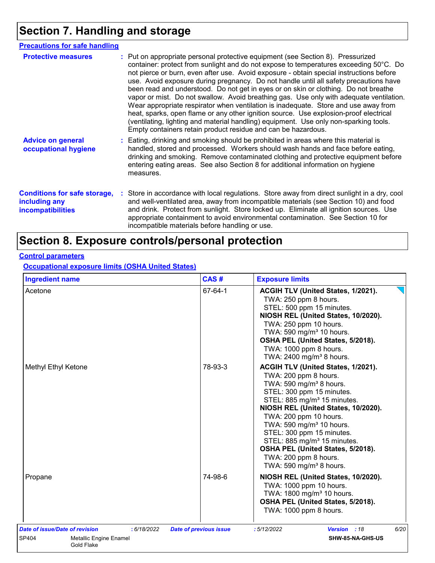### **Section 7. Handling and storage**

| <b>Precautions for safe handling</b>                                             |                                                                                                                                                                                                                                                                                                                                                                                                                                                                                                                                                                                                                                                                                                                                                                                                                                                                                          |
|----------------------------------------------------------------------------------|------------------------------------------------------------------------------------------------------------------------------------------------------------------------------------------------------------------------------------------------------------------------------------------------------------------------------------------------------------------------------------------------------------------------------------------------------------------------------------------------------------------------------------------------------------------------------------------------------------------------------------------------------------------------------------------------------------------------------------------------------------------------------------------------------------------------------------------------------------------------------------------|
| <b>Protective measures</b>                                                       | : Put on appropriate personal protective equipment (see Section 8). Pressurized<br>container: protect from sunlight and do not expose to temperatures exceeding 50°C. Do<br>not pierce or burn, even after use. Avoid exposure - obtain special instructions before<br>use. Avoid exposure during pregnancy. Do not handle until all safety precautions have<br>been read and understood. Do not get in eyes or on skin or clothing. Do not breathe<br>vapor or mist. Do not swallow. Avoid breathing gas. Use only with adequate ventilation.<br>Wear appropriate respirator when ventilation is inadequate. Store and use away from<br>heat, sparks, open flame or any other ignition source. Use explosion-proof electrical<br>(ventilating, lighting and material handling) equipment. Use only non-sparking tools.<br>Empty containers retain product residue and can be hazardous. |
| <b>Advice on general</b><br>occupational hygiene                                 | : Eating, drinking and smoking should be prohibited in areas where this material is<br>handled, stored and processed. Workers should wash hands and face before eating,<br>drinking and smoking. Remove contaminated clothing and protective equipment before<br>entering eating areas. See also Section 8 for additional information on hygiene<br>measures.                                                                                                                                                                                                                                                                                                                                                                                                                                                                                                                            |
| <b>Conditions for safe storage,</b><br>including any<br><b>incompatibilities</b> | : Store in accordance with local regulations. Store away from direct sunlight in a dry, cool<br>and well-ventilated area, away from incompatible materials (see Section 10) and food<br>and drink. Protect from sunlight. Store locked up. Eliminate all ignition sources. Use<br>appropriate containment to avoid environmental contamination. See Section 10 for<br>incompatible materials before handling or use.                                                                                                                                                                                                                                                                                                                                                                                                                                                                     |

## **Section 8. Exposure controls/personal protection**

### **Control parameters**

**Occupational exposure limits (OSHA United States)**

| <b>Ingredient name</b>                                                                                | CAS#                          | <b>Exposure limits</b>                                                                                                                                                                                                                                                                                                                                                                                                                                             |
|-------------------------------------------------------------------------------------------------------|-------------------------------|--------------------------------------------------------------------------------------------------------------------------------------------------------------------------------------------------------------------------------------------------------------------------------------------------------------------------------------------------------------------------------------------------------------------------------------------------------------------|
| Acetone                                                                                               | 67-64-1                       | ACGIH TLV (United States, 1/2021).<br>TWA: 250 ppm 8 hours.<br>STEL: 500 ppm 15 minutes.<br>NIOSH REL (United States, 10/2020).<br>TWA: 250 ppm 10 hours.<br>TWA: 590 mg/m <sup>3</sup> 10 hours.<br>OSHA PEL (United States, 5/2018).<br>TWA: 1000 ppm 8 hours.<br>TWA: 2400 mg/m <sup>3</sup> 8 hours.                                                                                                                                                           |
| Methyl Ethyl Ketone                                                                                   | 78-93-3                       | ACGIH TLV (United States, 1/2021).<br>TWA: 200 ppm 8 hours.<br>TWA: 590 mg/m <sup>3</sup> 8 hours.<br>STEL: 300 ppm 15 minutes.<br>STEL: 885 mg/m <sup>3</sup> 15 minutes.<br>NIOSH REL (United States, 10/2020).<br>TWA: 200 ppm 10 hours.<br>TWA: 590 mg/m <sup>3</sup> 10 hours.<br>STEL: 300 ppm 15 minutes.<br>STEL: 885 mg/m <sup>3</sup> 15 minutes.<br>OSHA PEL (United States, 5/2018).<br>TWA: 200 ppm 8 hours.<br>TWA: $590$ mg/m <sup>3</sup> 8 hours. |
| Propane                                                                                               | 74-98-6                       | NIOSH REL (United States, 10/2020).<br>TWA: 1000 ppm 10 hours.<br>TWA: 1800 mg/m <sup>3</sup> 10 hours.<br>OSHA PEL (United States, 5/2018).<br>TWA: 1000 ppm 8 hours.                                                                                                                                                                                                                                                                                             |
| Date of issue/Date of revision<br>: 6/18/2022<br>SP404<br><b>Metallic Engine Enamel</b><br>Gold Flake | <b>Date of previous issue</b> | 6/20<br>:5/12/2022<br>Version : 18<br>SHW-85-NA-GHS-US                                                                                                                                                                                                                                                                                                                                                                                                             |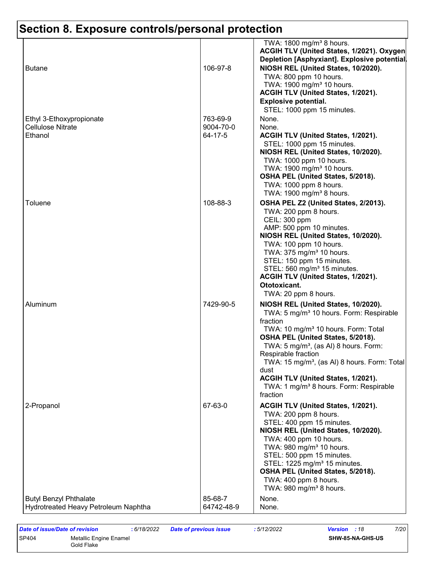| <b>Butane</b>                                                         | 106-97-8                         | TWA: 1800 mg/m <sup>3</sup> 8 hours.<br>ACGIH TLV (United States, 1/2021). Oxygen<br>Depletion [Asphyxiant]. Explosive potential<br>NIOSH REL (United States, 10/2020).<br>TWA: 800 ppm 10 hours.<br>TWA: 1900 mg/m <sup>3</sup> 10 hours.<br>ACGIH TLV (United States, 1/2021).                                                                                                                                                                      |
|-----------------------------------------------------------------------|----------------------------------|-------------------------------------------------------------------------------------------------------------------------------------------------------------------------------------------------------------------------------------------------------------------------------------------------------------------------------------------------------------------------------------------------------------------------------------------------------|
| Ethyl 3-Ethoxypropionate<br><b>Cellulose Nitrate</b><br>Ethanol       | 763-69-9<br>9004-70-0<br>64-17-5 | <b>Explosive potential.</b><br>STEL: 1000 ppm 15 minutes.<br>None.<br>None.<br>ACGIH TLV (United States, 1/2021).<br>STEL: 1000 ppm 15 minutes.<br>NIOSH REL (United States, 10/2020).<br>TWA: 1000 ppm 10 hours.<br>TWA: 1900 mg/m <sup>3</sup> 10 hours.<br>OSHA PEL (United States, 5/2018).                                                                                                                                                       |
| Toluene                                                               | 108-88-3                         | TWA: 1000 ppm 8 hours.<br>TWA: 1900 mg/m <sup>3</sup> 8 hours.<br>OSHA PEL Z2 (United States, 2/2013).<br>TWA: 200 ppm 8 hours.<br>CEIL: 300 ppm                                                                                                                                                                                                                                                                                                      |
|                                                                       |                                  | AMP: 500 ppm 10 minutes.<br>NIOSH REL (United States, 10/2020).<br>TWA: 100 ppm 10 hours.<br>TWA: 375 mg/m <sup>3</sup> 10 hours.<br>STEL: 150 ppm 15 minutes.<br>STEL: 560 mg/m <sup>3</sup> 15 minutes.<br>ACGIH TLV (United States, 1/2021).<br>Ototoxicant.<br>TWA: 20 ppm 8 hours.                                                                                                                                                               |
| Aluminum                                                              | 7429-90-5                        | NIOSH REL (United States, 10/2020).<br>TWA: 5 mg/m <sup>3</sup> 10 hours. Form: Respirable<br>fraction<br>TWA: 10 mg/m <sup>3</sup> 10 hours. Form: Total<br>OSHA PEL (United States, 5/2018).<br>TWA: $5 \text{ mg/m}^3$ , (as AI) 8 hours. Form:<br>Respirable fraction<br>TWA: 15 mg/m <sup>3</sup> , (as AI) 8 hours. Form: Total<br>dust<br>ACGIH TLV (United States, 1/2021).<br>TWA: 1 mg/m <sup>3</sup> 8 hours. Form: Respirable<br>fraction |
| 2-Propanol                                                            | 67-63-0                          | ACGIH TLV (United States, 1/2021).<br>TWA: 200 ppm 8 hours.<br>STEL: 400 ppm 15 minutes.<br>NIOSH REL (United States, 10/2020).<br>TWA: 400 ppm 10 hours.<br>TWA: 980 mg/m <sup>3</sup> 10 hours.<br>STEL: 500 ppm 15 minutes.<br>STEL: 1225 mg/m <sup>3</sup> 15 minutes.<br>OSHA PEL (United States, 5/2018).<br>TWA: 400 ppm 8 hours.<br>TWA: 980 mg/m <sup>3</sup> 8 hours.                                                                       |
| <b>Butyl Benzyl Phthalate</b><br>Hydrotreated Heavy Petroleum Naphtha | 85-68-7<br>64742-48-9            | None.<br>None.                                                                                                                                                                                                                                                                                                                                                                                                                                        |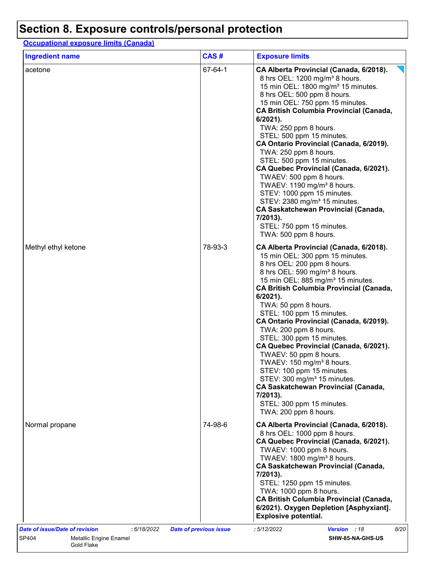**Occupational exposure limits (Canada)**

| <b>Ingredient name</b> | CAS#    | <b>Exposure limits</b>                                                                                                                                                                                                                                                                                                                                                                                                                                                                                                                                                                                                                                                                                                                     |  |  |
|------------------------|---------|--------------------------------------------------------------------------------------------------------------------------------------------------------------------------------------------------------------------------------------------------------------------------------------------------------------------------------------------------------------------------------------------------------------------------------------------------------------------------------------------------------------------------------------------------------------------------------------------------------------------------------------------------------------------------------------------------------------------------------------------|--|--|
| acetone                | 67-64-1 | CA Alberta Provincial (Canada, 6/2018).<br>8 hrs OEL: 1200 mg/m <sup>3</sup> 8 hours.<br>15 min OEL: 1800 mg/m <sup>3</sup> 15 minutes.<br>8 hrs OEL: 500 ppm 8 hours.<br>15 min OEL: 750 ppm 15 minutes.<br><b>CA British Columbia Provincial (Canada,</b><br>$6/2021$ ).<br>TWA: 250 ppm 8 hours.<br>STEL: 500 ppm 15 minutes.<br>CA Ontario Provincial (Canada, 6/2019).<br>TWA: 250 ppm 8 hours.<br>STEL: 500 ppm 15 minutes.<br>CA Quebec Provincial (Canada, 6/2021).<br>TWAEV: 500 ppm 8 hours.<br>TWAEV: 1190 mg/m <sup>3</sup> 8 hours.<br>STEV: 1000 ppm 15 minutes.<br>STEV: 2380 mg/m <sup>3</sup> 15 minutes.<br><b>CA Saskatchewan Provincial (Canada,</b><br>7/2013).<br>STEL: 750 ppm 15 minutes.<br>TWA: 500 ppm 8 hours. |  |  |
| Methyl ethyl ketone    | 78-93-3 | CA Alberta Provincial (Canada, 6/2018).<br>15 min OEL: 300 ppm 15 minutes.<br>8 hrs OEL: 200 ppm 8 hours.<br>8 hrs OEL: 590 mg/m <sup>3</sup> 8 hours.<br>15 min OEL: 885 mg/m <sup>3</sup> 15 minutes.<br><b>CA British Columbia Provincial (Canada,</b><br>$6/2021$ ).<br>TWA: 50 ppm 8 hours.<br>STEL: 100 ppm 15 minutes.<br>CA Ontario Provincial (Canada, 6/2019).<br>TWA: 200 ppm 8 hours.<br>STEL: 300 ppm 15 minutes.<br>CA Quebec Provincial (Canada, 6/2021).<br>TWAEV: 50 ppm 8 hours.<br>TWAEV: 150 mg/m <sup>3</sup> 8 hours.<br>STEV: 100 ppm 15 minutes.<br>STEV: 300 mg/m <sup>3</sup> 15 minutes.<br><b>CA Saskatchewan Provincial (Canada,</b><br>7/2013).<br>STEL: 300 ppm 15 minutes.<br>TWA: 200 ppm 8 hours.        |  |  |
| Normal propane         | 74-98-6 | CA Alberta Provincial (Canada, 6/2018).<br>8 hrs OEL: 1000 ppm 8 hours.<br>CA Quebec Provincial (Canada, 6/2021).<br>TWAEV: 1000 ppm 8 hours.<br>TWAEV: 1800 mg/m <sup>3</sup> 8 hours.<br><b>CA Saskatchewan Provincial (Canada,</b><br>7/2013).<br>STEL: 1250 ppm 15 minutes.<br>TWA: 1000 ppm 8 hours.<br><b>CA British Columbia Provincial (Canada,</b><br>6/2021). Oxygen Depletion [Asphyxiant].<br><b>Explosive potential.</b>                                                                                                                                                                                                                                                                                                      |  |  |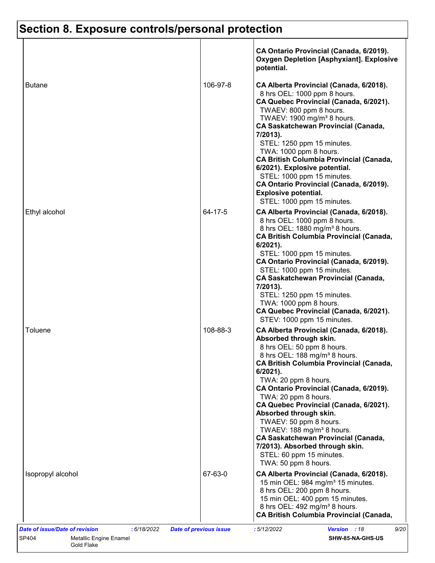|                   |          | CA Ontario Provincial (Canada, 6/2019).<br><b>Oxygen Depletion [Asphyxiant]. Explosive</b><br>potential.                                                                                                                                                                                                                                                                                                                                                                                                                                                                             |
|-------------------|----------|--------------------------------------------------------------------------------------------------------------------------------------------------------------------------------------------------------------------------------------------------------------------------------------------------------------------------------------------------------------------------------------------------------------------------------------------------------------------------------------------------------------------------------------------------------------------------------------|
| <b>Butane</b>     | 106-97-8 | CA Alberta Provincial (Canada, 6/2018).<br>8 hrs OEL: 1000 ppm 8 hours.<br>CA Quebec Provincial (Canada, 6/2021).<br>TWAEV: 800 ppm 8 hours.<br>TWAEV: 1900 mg/m <sup>3</sup> 8 hours.<br><b>CA Saskatchewan Provincial (Canada,</b><br>7/2013).<br>STEL: 1250 ppm 15 minutes.<br>TWA: 1000 ppm 8 hours.<br><b>CA British Columbia Provincial (Canada,</b><br>6/2021). Explosive potential.<br>STEL: 1000 ppm 15 minutes.<br>CA Ontario Provincial (Canada, 6/2019).<br><b>Explosive potential.</b><br>STEL: 1000 ppm 15 minutes.                                                    |
| Ethyl alcohol     | 64-17-5  | CA Alberta Provincial (Canada, 6/2018).<br>8 hrs OEL: 1000 ppm 8 hours.<br>8 hrs OEL: 1880 mg/m <sup>3</sup> 8 hours.<br><b>CA British Columbia Provincial (Canada,</b><br>$6/2021$ ).<br>STEL: 1000 ppm 15 minutes.<br>CA Ontario Provincial (Canada, 6/2019).<br>STEL: 1000 ppm 15 minutes.<br><b>CA Saskatchewan Provincial (Canada,</b><br>7/2013).<br>STEL: 1250 ppm 15 minutes.<br>TWA: 1000 ppm 8 hours.<br>CA Quebec Provincial (Canada, 6/2021).<br>STEV: 1000 ppm 15 minutes.                                                                                              |
| Toluene           | 108-88-3 | CA Alberta Provincial (Canada, 6/2018).<br>Absorbed through skin.<br>8 hrs OEL: 50 ppm 8 hours.<br>8 hrs OEL: 188 mg/m <sup>3</sup> 8 hours.<br><b>CA British Columbia Provincial (Canada,</b><br>$6/2021$ ).<br>TWA: 20 ppm 8 hours.<br>CA Ontario Provincial (Canada, 6/2019).<br>TWA: 20 ppm 8 hours.<br>CA Quebec Provincial (Canada, 6/2021).<br>Absorbed through skin.<br>TWAEV: 50 ppm 8 hours.<br>TWAEV: 188 mg/m <sup>3</sup> 8 hours.<br><b>CA Saskatchewan Provincial (Canada,</b><br>7/2013). Absorbed through skin.<br>STEL: 60 ppm 15 minutes.<br>TWA: 50 ppm 8 hours. |
| Isopropyl alcohol | 67-63-0  | CA Alberta Provincial (Canada, 6/2018).<br>15 min OEL: 984 mg/m <sup>3</sup> 15 minutes.<br>8 hrs OEL: 200 ppm 8 hours.<br>15 min OEL: 400 ppm 15 minutes.<br>8 hrs OEL: 492 mg/m <sup>3</sup> 8 hours.<br><b>CA British Columbia Provincial (Canada,</b>                                                                                                                                                                                                                                                                                                                            |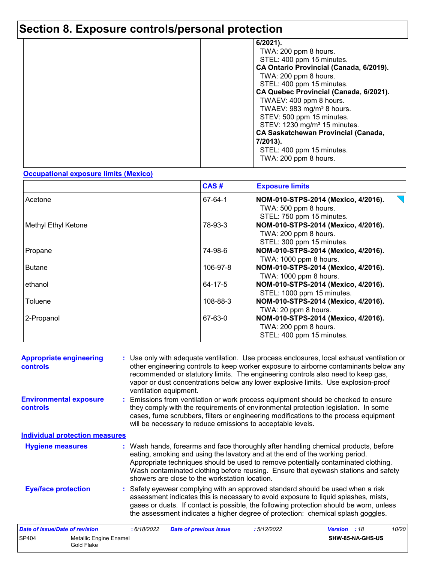| 6/2021).                                   |
|--------------------------------------------|
| TWA: 200 ppm 8 hours.                      |
| STEL: 400 ppm 15 minutes.                  |
| CA Ontario Provincial (Canada, 6/2019).    |
| TWA: 200 ppm 8 hours.                      |
|                                            |
| STEL: 400 ppm 15 minutes.                  |
| CA Quebec Provincial (Canada, 6/2021).     |
| TWAEV: 400 ppm 8 hours.                    |
| TWAEV: 983 mg/m <sup>3</sup> 8 hours.      |
| STEV: 500 ppm 15 minutes.                  |
| STEV: 1230 mg/m <sup>3</sup> 15 minutes.   |
| <b>CA Saskatchewan Provincial (Canada,</b> |
| 7/2013).                                   |
| STEL: 400 ppm 15 minutes.                  |
| TWA: 200 ppm 8 hours.                      |
|                                            |

#### **Occupational exposure limits (Mexico)**

|                            | CAS#     | <b>Exposure limits</b>                                                                                                 |
|----------------------------|----------|------------------------------------------------------------------------------------------------------------------------|
| Acetone                    | 67-64-1  | NOM-010-STPS-2014 (Mexico, 4/2016).<br>TWA: 500 ppm 8 hours.                                                           |
| <b>Methyl Ethyl Ketone</b> | 78-93-3  | STEL: 750 ppm 15 minutes.<br>NOM-010-STPS-2014 (Mexico, 4/2016).<br>TWA: 200 ppm 8 hours.<br>STEL: 300 ppm 15 minutes. |
| Propane                    | 74-98-6  | NOM-010-STPS-2014 (Mexico, 4/2016).<br>TWA: 1000 ppm 8 hours.                                                          |
| <b>Butane</b>              | 106-97-8 | NOM-010-STPS-2014 (Mexico, 4/2016).<br>TWA: 1000 ppm 8 hours.                                                          |
| ethanol                    | 64-17-5  | NOM-010-STPS-2014 (Mexico, 4/2016).<br>STEL: 1000 ppm 15 minutes.                                                      |
| Toluene                    | 108-88-3 | NOM-010-STPS-2014 (Mexico, 4/2016).<br>TWA: 20 ppm 8 hours.                                                            |
| 2-Propanol                 | 67-63-0  | NOM-010-STPS-2014 (Mexico, 4/2016).<br>TWA: 200 ppm 8 hours.<br>STEL: 400 ppm 15 minutes.                              |

| <b>Appropriate engineering</b><br><b>controls</b> |                                             |             | ventilation equipment.                                                                                                         |            | : Use only with adequate ventilation. Use process enclosures, local exhaust ventilation or<br>other engineering controls to keep worker exposure to airborne contaminants below any<br>recommended or statutory limits. The engineering controls also need to keep gas,<br>vapor or dust concentrations below any lower explosive limits. Use explosion-proof |       |
|---------------------------------------------------|---------------------------------------------|-------------|--------------------------------------------------------------------------------------------------------------------------------|------------|---------------------------------------------------------------------------------------------------------------------------------------------------------------------------------------------------------------------------------------------------------------------------------------------------------------------------------------------------------------|-------|
| <b>Environmental exposure</b><br>controls         |                                             |             | will be necessary to reduce emissions to acceptable levels.                                                                    |            | : Emissions from ventilation or work process equipment should be checked to ensure<br>they comply with the requirements of environmental protection legislation. In some<br>cases, fume scrubbers, filters or engineering modifications to the process equipment                                                                                              |       |
|                                                   | <b>Individual protection measures</b>       |             |                                                                                                                                |            |                                                                                                                                                                                                                                                                                                                                                               |       |
| <b>Hygiene measures</b>                           |                                             |             | eating, smoking and using the lavatory and at the end of the working period.<br>showers are close to the workstation location. |            | : Wash hands, forearms and face thoroughly after handling chemical products, before<br>Appropriate techniques should be used to remove potentially contaminated clothing.<br>Wash contaminated clothing before reusing. Ensure that eyewash stations and safety                                                                                               |       |
| <b>Eye/face protection</b>                        |                                             |             |                                                                                                                                |            | : Safety eyewear complying with an approved standard should be used when a risk<br>assessment indicates this is necessary to avoid exposure to liquid splashes, mists,<br>gases or dusts. If contact is possible, the following protection should be worn, unless<br>the assessment indicates a higher degree of protection: chemical splash goggles.         |       |
| <b>Date of issue/Date of revision</b>             |                                             | : 6/18/2022 | <b>Date of previous issue</b>                                                                                                  | :5/12/2022 | Version : 18                                                                                                                                                                                                                                                                                                                                                  | 10/20 |
| SP404                                             | <b>Metallic Engine Enamel</b><br>Gold Flake |             |                                                                                                                                |            | SHW-85-NA-GHS-US                                                                                                                                                                                                                                                                                                                                              |       |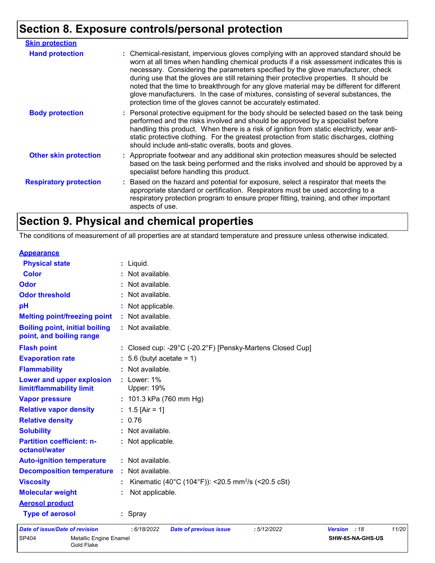| <b>Skin protection</b>        |                                                                                                                                                                                                                                                                                                                                                                                                                                                                                                                                                                                                                        |
|-------------------------------|------------------------------------------------------------------------------------------------------------------------------------------------------------------------------------------------------------------------------------------------------------------------------------------------------------------------------------------------------------------------------------------------------------------------------------------------------------------------------------------------------------------------------------------------------------------------------------------------------------------------|
| <b>Hand protection</b>        | : Chemical-resistant, impervious gloves complying with an approved standard should be<br>worn at all times when handling chemical products if a risk assessment indicates this is<br>necessary. Considering the parameters specified by the glove manufacturer, check<br>during use that the gloves are still retaining their protective properties. It should be<br>noted that the time to breakthrough for any glove material may be different for different<br>glove manufacturers. In the case of mixtures, consisting of several substances, the<br>protection time of the gloves cannot be accurately estimated. |
| <b>Body protection</b>        | : Personal protective equipment for the body should be selected based on the task being<br>performed and the risks involved and should be approved by a specialist before<br>handling this product. When there is a risk of ignition from static electricity, wear anti-<br>static protective clothing. For the greatest protection from static discharges, clothing<br>should include anti-static overalls, boots and gloves.                                                                                                                                                                                         |
| <b>Other skin protection</b>  | : Appropriate footwear and any additional skin protection measures should be selected<br>based on the task being performed and the risks involved and should be approved by a<br>specialist before handling this product.                                                                                                                                                                                                                                                                                                                                                                                              |
| <b>Respiratory protection</b> | : Based on the hazard and potential for exposure, select a respirator that meets the<br>appropriate standard or certification. Respirators must be used according to a<br>respiratory protection program to ensure proper fitting, training, and other important<br>aspects of use.                                                                                                                                                                                                                                                                                                                                    |

### **Section 9. Physical and chemical properties**

The conditions of measurement of all properties are at standard temperature and pressure unless otherwise indicated.

| <b>Appearance</b>                                                 |                                                                |                |      |       |  |  |
|-------------------------------------------------------------------|----------------------------------------------------------------|----------------|------|-------|--|--|
| <b>Physical state</b>                                             | $:$ Liquid.                                                    |                |      |       |  |  |
| <b>Color</b>                                                      | : Not available.                                               |                |      |       |  |  |
| Odor                                                              | : Not available.                                               |                |      |       |  |  |
| <b>Odor threshold</b>                                             | : Not available.                                               |                |      |       |  |  |
| pH                                                                | : Not applicable.                                              |                |      |       |  |  |
| <b>Melting point/freezing point</b>                               | : Not available.                                               |                |      |       |  |  |
| <b>Boiling point, initial boiling</b><br>point, and boiling range | : Not available.                                               |                |      |       |  |  |
| <b>Flash point</b>                                                | : Closed cup: -29°C (-20.2°F) [Pensky-Martens Closed Cup]      |                |      |       |  |  |
| <b>Evaporation rate</b>                                           | $: 5.6$ (butyl acetate = 1)                                    |                |      |       |  |  |
| <b>Flammability</b>                                               | : Not available.                                               |                |      |       |  |  |
| Lower and upper explosion<br>limit/flammability limit             | : Lower: 1%<br><b>Upper: 19%</b>                               |                |      |       |  |  |
| <b>Vapor pressure</b>                                             | : $101.3$ kPa (760 mm Hg)                                      |                |      |       |  |  |
| <b>Relative vapor density</b>                                     | : $1.5$ [Air = 1]                                              |                |      |       |  |  |
| <b>Relative density</b>                                           | : 0.76                                                         |                |      |       |  |  |
| <b>Solubility</b>                                                 | : Not available.                                               |                |      |       |  |  |
| <b>Partition coefficient: n-</b><br>octanol/water                 | : Not applicable.                                              |                |      |       |  |  |
| <b>Auto-ignition temperature</b>                                  | : Not available.                                               |                |      |       |  |  |
| <b>Decomposition temperature</b>                                  | : Not available.                                               |                |      |       |  |  |
| <b>Viscosity</b>                                                  | Kinematic (40°C (104°F)): <20.5 mm <sup>2</sup> /s (<20.5 cSt) |                |      |       |  |  |
| <b>Molecular weight</b>                                           | Not applicable.                                                |                |      |       |  |  |
| <b>Aerosol product</b>                                            |                                                                |                |      |       |  |  |
| <b>Type of aerosol</b>                                            | : Spray                                                        |                |      |       |  |  |
| <b>Date of issue/Date of revision</b>                             | : 6/18/2022<br>:5/12/2022<br><b>Date of previous issue</b>     | <b>Version</b> | : 18 | 11/20 |  |  |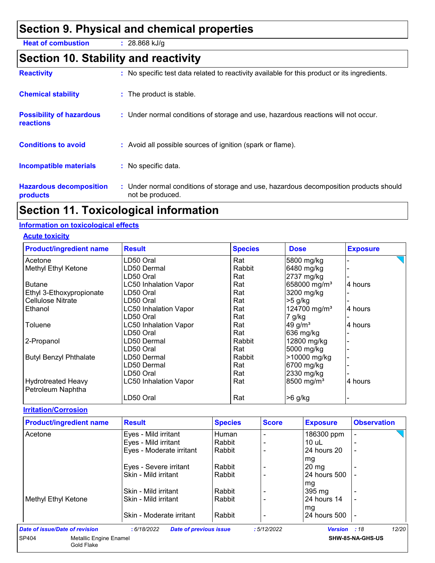### **Section 9. Physical and chemical properties**

**Heat of combustion :** 28.868 kJ/g

### **Section 10. Stability and reactivity**

| : No specific test data related to reactivity available for this product or its ingredients.              |
|-----------------------------------------------------------------------------------------------------------|
| : The product is stable.                                                                                  |
| : Under normal conditions of storage and use, hazardous reactions will not occur.                         |
| : Avoid all possible sources of ignition (spark or flame).                                                |
| : No specific data.                                                                                       |
| : Under normal conditions of storage and use, hazardous decomposition products should<br>not be produced. |
|                                                                                                           |

### **Section 11. Toxicological information**

#### **Information on toxicological effects**

#### **Acute toxicity**

| <b>Product/ingredient name</b> | <b>Result</b>                | <b>Species</b> | <b>Dose</b>              | <b>Exposure</b> |
|--------------------------------|------------------------------|----------------|--------------------------|-----------------|
| Acetone                        | LD50 Oral                    | Rat            | 5800 mg/kg               |                 |
| Methyl Ethyl Ketone            | LD50 Dermal                  | Rabbit         | 6480 mg/kg               |                 |
|                                | LD50 Oral                    | Rat            | 2737 mg/kg               |                 |
| <b>Butane</b>                  | <b>LC50 Inhalation Vapor</b> | Rat            | 658000 mg/m <sup>3</sup> | 4 hours         |
| Ethyl 3-Ethoxypropionate       | LD50 Oral                    | Rat            | 3200 mg/kg               |                 |
| <b>Cellulose Nitrate</b>       | LD50 Oral                    | Rat            | $>5$ g/kg                |                 |
| Ethanol                        | <b>LC50 Inhalation Vapor</b> | Rat            | 124700 mg/m <sup>3</sup> | 4 hours         |
|                                | LD50 Oral                    | Rat            | $7$ g/kg                 |                 |
| Toluene                        | LC50 Inhalation Vapor        | Rat            | 49 g/ $m3$               | 4 hours         |
|                                | LD50 Oral                    | Rat            | 636 mg/kg                |                 |
| 2-Propanol                     | LD50 Dermal                  | Rabbit         | 12800 mg/kg              |                 |
|                                | LD50 Oral                    | Rat            | 5000 mg/kg               |                 |
| <b>Butyl Benzyl Phthalate</b>  | LD50 Dermal                  | Rabbit         | >10000 mg/kg             |                 |
|                                | LD50 Dermal                  | Rat            | 6700 mg/kg               |                 |
|                                | LD50 Oral                    | Rat            | 2330 mg/kg               |                 |
| <b>Hydrotreated Heavy</b>      | LC50 Inhalation Vapor        | Rat            | 8500 mg/m <sup>3</sup>   | 4 hours         |
| Petroleum Naphtha              |                              |                |                          |                 |
|                                | LD50 Oral                    | Rat            | $>6$ g/kg                |                 |

#### **Irritation/Corrosion**

| <b>Product/ingredient name</b>         | <b>Result</b>                                | <b>Species</b> | <b>Score</b> | <b>Exposure</b>     | <b>Observation</b> |
|----------------------------------------|----------------------------------------------|----------------|--------------|---------------------|--------------------|
| Acetone                                | Eyes - Mild irritant                         | Human          |              | 186300 ppm          |                    |
|                                        | Eyes - Mild irritant                         | Rabbit         |              | $10$ uL             |                    |
|                                        | Eyes - Moderate irritant                     | Rabbit         |              | 24 hours 20         |                    |
|                                        |                                              |                |              | mg                  |                    |
|                                        | Eyes - Severe irritant                       | Rabbit         |              | $20 \text{ mg}$     |                    |
|                                        | Skin - Mild irritant                         | Rabbit         |              | 24 hours 500        |                    |
|                                        |                                              |                |              | mg                  |                    |
|                                        | Skin - Mild irritant                         | Rabbit         |              | 395 mg              |                    |
| Methyl Ethyl Ketone                    | Skin - Mild irritant                         | Rabbit         |              | <b>24 hours 14</b>  |                    |
|                                        |                                              |                |              | mg                  |                    |
|                                        | Skin - Moderate irritant                     | Rabbit         |              | 24 hours 500        |                    |
| Date of issue/Date of revision         | : 6/18/2022<br><b>Date of previous issue</b> |                | :5/12/2022   | <b>Version</b> : 18 | 12/20              |
| SP404<br><b>Metallic Engine Enamel</b> |                                              |                |              |                     | SHW-85-NA-GHS-US   |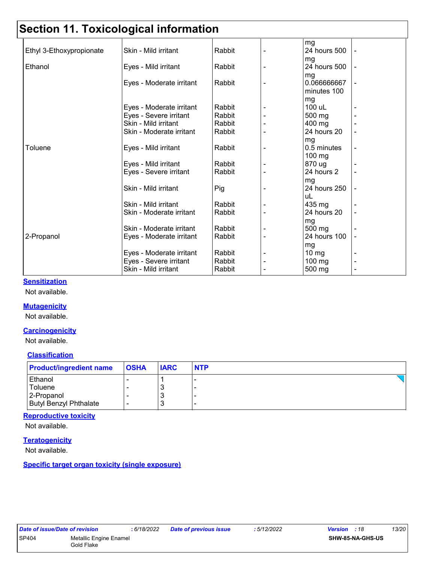## **Section 11. Toxicological information**

|                          |                          |                  | mg                   |  |
|--------------------------|--------------------------|------------------|----------------------|--|
| Ethyl 3-Ethoxypropionate | Skin - Mild irritant     | Rabbit           | 24 hours 500         |  |
|                          |                          |                  | mg                   |  |
| Ethanol                  | Eyes - Mild irritant     | Rabbit           | 24 hours 500         |  |
|                          |                          |                  | mg                   |  |
|                          | Eyes - Moderate irritant | Rabbit           | 0.066666667          |  |
|                          |                          |                  | minutes 100          |  |
|                          |                          |                  | mg                   |  |
|                          | Eyes - Moderate irritant | Rabbit           | 100 uL               |  |
|                          | Eyes - Severe irritant   | Rabbit           | 500 mg               |  |
|                          | Skin - Mild irritant     | Rabbit           | 400 mg               |  |
|                          | Skin - Moderate irritant | Rabbit           | 24 hours 20          |  |
|                          |                          |                  | mg                   |  |
| Toluene                  | Eyes - Mild irritant     | Rabbit           | 0.5 minutes          |  |
|                          |                          |                  | 100 mg               |  |
|                          | Eyes - Mild irritant     | Rabbit<br>Rabbit | 870 ug<br>24 hours 2 |  |
|                          | Eyes - Severe irritant   |                  |                      |  |
|                          | Skin - Mild irritant     | Pig              | mg<br>24 hours 250   |  |
|                          |                          |                  | uL                   |  |
|                          | Skin - Mild irritant     | Rabbit           | 435 mg               |  |
|                          | Skin - Moderate irritant | Rabbit           | 24 hours 20          |  |
|                          |                          |                  | mg                   |  |
|                          | Skin - Moderate irritant | Rabbit           | 500 mg               |  |
| 2-Propanol               | Eyes - Moderate irritant | Rabbit           | 24 hours 100         |  |
|                          |                          |                  | mg                   |  |
|                          | Eyes - Moderate irritant | Rabbit           | $10 \, \text{mg}$    |  |
|                          | Eyes - Severe irritant   | Rabbit           | 100 mg               |  |
|                          | Skin - Mild irritant     | Rabbit           | 500 mg               |  |
|                          |                          |                  |                      |  |

#### **Sensitization**

Not available.

#### **Mutagenicity**

Not available.

#### **Carcinogenicity**

Not available.

#### **Classification**

| <b>Product/ingredient name</b> | <b>OSHA</b> | <b>IARC</b> | <b>NTP</b> |
|--------------------------------|-------------|-------------|------------|
| <b>Ethanol</b>                 |             |             |            |
| Toluene                        |             | <b>N</b>    |            |
| 2-Propanol                     |             | <b>N</b>    |            |
| <b>Butyl Benzyl Phthalate</b>  |             | <b>N</b>    |            |

#### **Reproductive toxicity**

Not available.

#### **Teratogenicity**

Not available.

**Specific target organ toxicity (single exposure)**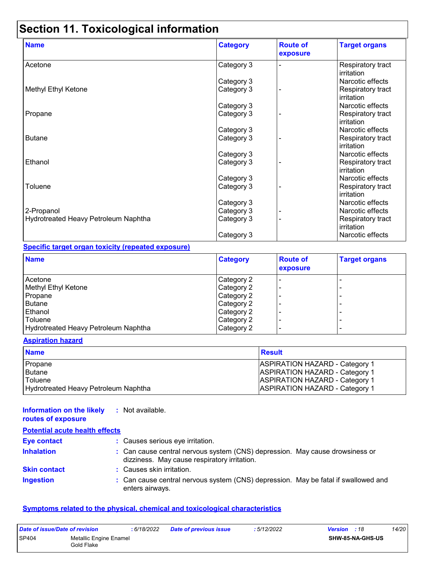### **Section 11. Toxicological information**

| <b>Name</b>                          | <b>Category</b> | <b>Route of</b><br>exposure | <b>Target organs</b>            |
|--------------------------------------|-----------------|-----------------------------|---------------------------------|
| Acetone                              | Category 3      |                             | Respiratory tract<br>irritation |
|                                      | Category 3      |                             | Narcotic effects                |
| Methyl Ethyl Ketone                  | Category 3      |                             | Respiratory tract<br>irritation |
|                                      | Category 3      |                             | Narcotic effects                |
| Propane                              | Category 3      |                             | Respiratory tract<br>irritation |
|                                      | Category 3      |                             | Narcotic effects                |
| <b>Butane</b>                        | Category 3      |                             | Respiratory tract<br>irritation |
|                                      | Category 3      |                             | Narcotic effects                |
| Ethanol                              | Category 3      |                             | Respiratory tract<br>irritation |
|                                      | Category 3      |                             | Narcotic effects                |
| Toluene                              | Category 3      |                             | Respiratory tract<br>irritation |
|                                      | Category 3      |                             | Narcotic effects                |
| 2-Propanol                           | Category 3      |                             | Narcotic effects                |
| Hydrotreated Heavy Petroleum Naphtha | Category 3      |                             | Respiratory tract<br>irritation |
|                                      | Category 3      |                             | Narcotic effects                |

#### **Specific target organ toxicity (repeated exposure)**

| <b>Name</b>                          | <b>Category</b> | <b>Route of</b><br>exposure | <b>Target organs</b>     |
|--------------------------------------|-----------------|-----------------------------|--------------------------|
| Acetone                              | Category 2      |                             |                          |
| Methyl Ethyl Ketone                  | Category 2      |                             | -                        |
| Propane                              | Category 2      |                             | ۰                        |
| <b>Butane</b>                        | Category 2      |                             | -                        |
| Ethanol                              | Category 2      |                             | -                        |
| Toluene                              | Category 2      |                             | ۰                        |
| Hydrotreated Heavy Petroleum Naphtha | Category 2      |                             | $\overline{\phantom{0}}$ |

#### **Aspiration hazard**

| <b>Name</b>                          | <b>Result</b>                         |
|--------------------------------------|---------------------------------------|
| Propane                              | <b>ASPIRATION HAZARD - Category 1</b> |
| Butane                               | <b>ASPIRATION HAZARD - Category 1</b> |
| <b>Toluene</b>                       | <b>ASPIRATION HAZARD - Category 1</b> |
| Hydrotreated Heavy Petroleum Naphtha | <b>ASPIRATION HAZARD - Category 1</b> |

#### **Information on the likely :** Not available. **routes of exposure**

| <b>Potential acute health effects</b> |                                                                                                                              |
|---------------------------------------|------------------------------------------------------------------------------------------------------------------------------|
| <b>Eye contact</b>                    | : Causes serious eye irritation.                                                                                             |
| <b>Inhalation</b>                     | : Can cause central nervous system (CNS) depression. May cause drowsiness or<br>dizziness. May cause respiratory irritation. |
| <b>Skin contact</b>                   | : Causes skin irritation.                                                                                                    |
| <b>Ingestion</b>                      | : Can cause central nervous system (CNS) depression. May be fatal if swallowed and<br>enters airways.                        |

#### **Symptoms related to the physical, chemical and toxicological characteristics**

| Date of issue/Date of revision |                                      | 6/18/2022 | <b>Date of previous issue</b> | : 5/12/2022 | <b>Version</b> : 18 |                         | 14/20 |
|--------------------------------|--------------------------------------|-----------|-------------------------------|-------------|---------------------|-------------------------|-------|
| SP404                          | Metallic Engine Enamel<br>Gold Flake |           |                               |             |                     | <b>SHW-85-NA-GHS-US</b> |       |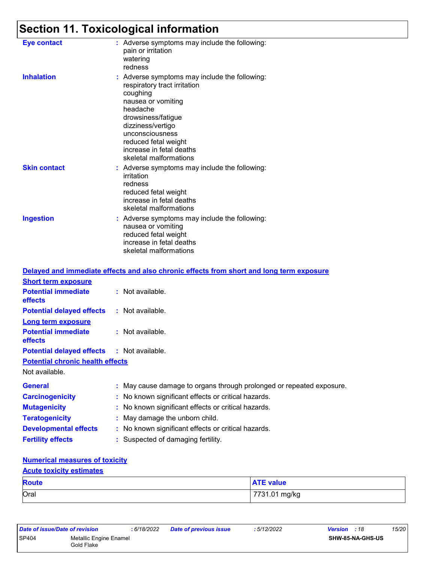# **Section 11. Toxicological information**

| <b>Eye contact</b>  | : Adverse symptoms may include the following:<br>pain or irritation<br>watering<br>redness                                                                                                                                                                              |
|---------------------|-------------------------------------------------------------------------------------------------------------------------------------------------------------------------------------------------------------------------------------------------------------------------|
| <b>Inhalation</b>   | : Adverse symptoms may include the following:<br>respiratory tract irritation<br>coughing<br>nausea or vomiting<br>headache<br>drowsiness/fatigue<br>dizziness/vertigo<br>unconsciousness<br>reduced fetal weight<br>increase in fetal deaths<br>skeletal malformations |
| <b>Skin contact</b> | : Adverse symptoms may include the following:<br>irritation<br>redness<br>reduced fetal weight<br>increase in fetal deaths<br>skeletal malformations                                                                                                                    |
| <b>Ingestion</b>    | : Adverse symptoms may include the following:<br>nausea or vomiting<br>reduced fetal weight<br>increase in fetal deaths<br>skeletal malformations                                                                                                                       |

|                                                   | Delayed and immediate effects and also chronic effects from short and long term exposure |
|---------------------------------------------------|------------------------------------------------------------------------------------------|
| <b>Short term exposure</b>                        |                                                                                          |
| <b>Potential immediate</b><br><b>effects</b>      | $\therefore$ Not available.                                                              |
| <b>Potential delayed effects : Not available.</b> |                                                                                          |
| <b>Long term exposure</b>                         |                                                                                          |
| <b>Potential immediate</b><br><b>effects</b>      | $:$ Not available.                                                                       |
| <b>Potential delayed effects : Not available.</b> |                                                                                          |
| <b>Potential chronic health effects</b>           |                                                                                          |
| Not available.                                    |                                                                                          |
| <b>General</b>                                    | : May cause damage to organs through prolonged or repeated exposure.                     |
| <b>Carcinogenicity</b>                            | : No known significant effects or critical hazards.                                      |
| <b>Mutagenicity</b>                               | : No known significant effects or critical hazards.                                      |
| <b>Teratogenicity</b>                             | : May damage the unborn child.                                                           |
| <b>Developmental effects</b>                      | : No known significant effects or critical hazards.                                      |
| <b>Fertility effects</b>                          | : Suspected of damaging fertility.                                                       |

#### **Numerical measures of toxicity**

#### **Acute toxicity estimates**

| <b>Route</b> | <b>ATE value</b> |
|--------------|------------------|
| Oral         | 7731.01 mg/kg    |

| Date of issue/Date of revision |                                      | : 6/18/2022 | <b>Date of previous issue</b> | : 5/12/2022 | <b>Version</b> : 18 |                         | 15/20 |
|--------------------------------|--------------------------------------|-------------|-------------------------------|-------------|---------------------|-------------------------|-------|
| SP404                          | Metallic Engine Enamel<br>Gold Flake |             |                               |             |                     | <b>SHW-85-NA-GHS-US</b> |       |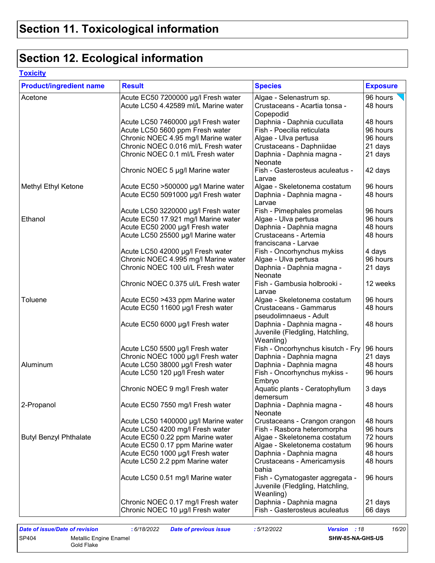## **Section 12. Ecological information**

### **Toxicity**

| <b>Product/ingredient name</b> | <b>Result</b>                        | <b>Species</b>                                                                  | <b>Exposure</b> |
|--------------------------------|--------------------------------------|---------------------------------------------------------------------------------|-----------------|
| Acetone                        | Acute EC50 7200000 µg/l Fresh water  | Algae - Selenastrum sp.                                                         | 96 hours        |
|                                | Acute LC50 4.42589 ml/L Marine water | Crustaceans - Acartia tonsa -<br>Copepodid                                      | 48 hours        |
|                                | Acute LC50 7460000 µg/l Fresh water  | Daphnia - Daphnia cucullata                                                     | 48 hours        |
|                                | Acute LC50 5600 ppm Fresh water      | Fish - Poecilia reticulata                                                      | 96 hours        |
|                                | Chronic NOEC 4.95 mg/l Marine water  | Algae - Ulva pertusa                                                            | 96 hours        |
|                                | Chronic NOEC 0.016 ml/L Fresh water  | Crustaceans - Daphniidae                                                        | 21 days         |
|                                | Chronic NOEC 0.1 ml/L Fresh water    | Daphnia - Daphnia magna -<br>Neonate                                            | 21 days         |
|                                | Chronic NOEC 5 µg/l Marine water     | Fish - Gasterosteus aculeatus -<br>Larvae                                       | 42 days         |
| Methyl Ethyl Ketone            | Acute EC50 >500000 µg/l Marine water | Algae - Skeletonema costatum                                                    | 96 hours        |
|                                | Acute EC50 5091000 µg/l Fresh water  | Daphnia - Daphnia magna -<br>Larvae                                             | 48 hours        |
|                                | Acute LC50 3220000 µg/l Fresh water  | Fish - Pimephales promelas                                                      | 96 hours        |
| Ethanol                        | Acute EC50 17.921 mg/l Marine water  | Algae - Ulva pertusa                                                            | 96 hours        |
|                                | Acute EC50 2000 µg/l Fresh water     | Daphnia - Daphnia magna                                                         | 48 hours        |
|                                | Acute LC50 25500 µg/l Marine water   | Crustaceans - Artemia<br>franciscana - Larvae                                   | 48 hours        |
|                                | Acute LC50 42000 µg/l Fresh water    | Fish - Oncorhynchus mykiss                                                      | 4 days          |
|                                | Chronic NOEC 4.995 mg/l Marine water | Algae - Ulva pertusa                                                            | 96 hours        |
|                                | Chronic NOEC 100 ul/L Fresh water    | Daphnia - Daphnia magna -<br>Neonate                                            | 21 days         |
|                                | Chronic NOEC 0.375 ul/L Fresh water  | Fish - Gambusia holbrooki -<br>Larvae                                           | 12 weeks        |
| Toluene                        | Acute EC50 >433 ppm Marine water     | Algae - Skeletonema costatum                                                    | 96 hours        |
|                                | Acute EC50 11600 µg/l Fresh water    | <b>Crustaceans - Gammarus</b><br>pseudolimnaeus - Adult                         | 48 hours        |
|                                | Acute EC50 6000 µg/l Fresh water     | Daphnia - Daphnia magna -<br>Juvenile (Fledgling, Hatchling,<br>Weanling)       | 48 hours        |
|                                | Acute LC50 5500 µg/l Fresh water     | Fish - Oncorhynchus kisutch - Fry                                               | 96 hours        |
|                                | Chronic NOEC 1000 µg/l Fresh water   | Daphnia - Daphnia magna                                                         | 21 days         |
| Aluminum                       | Acute LC50 38000 µg/l Fresh water    | Daphnia - Daphnia magna                                                         | 48 hours        |
|                                | Acute LC50 120 µg/l Fresh water      | Fish - Oncorhynchus mykiss -<br>Embryo                                          | 96 hours        |
|                                | Chronic NOEC 9 mg/l Fresh water      | Aquatic plants - Ceratophyllum<br>demersum                                      | 3 days          |
| 2-Propanol                     | Acute EC50 7550 mg/l Fresh water     | Daphnia - Daphnia magna -<br>Neonate                                            | 48 hours        |
|                                | Acute LC50 1400000 µg/l Marine water | Crustaceans - Crangon crangon                                                   | 48 hours        |
|                                | Acute LC50 4200 mg/l Fresh water     | Fish - Rasbora heteromorpha                                                     | 96 hours        |
| <b>Butyl Benzyl Phthalate</b>  | Acute EC50 0.22 ppm Marine water     | Algae - Skeletonema costatum                                                    | 72 hours        |
|                                | Acute EC50 0.17 ppm Marine water     | Algae - Skeletonema costatum                                                    | 96 hours        |
|                                | Acute EC50 1000 µg/l Fresh water     | Daphnia - Daphnia magna                                                         | 48 hours        |
|                                | Acute LC50 2.2 ppm Marine water      | Crustaceans - Americamysis<br>bahia                                             | 48 hours        |
|                                | Acute LC50 0.51 mg/l Marine water    | Fish - Cymatogaster aggregata -<br>Juvenile (Fledgling, Hatchling,<br>Weanling) | 96 hours        |
|                                | Chronic NOEC 0.17 mg/l Fresh water   | Daphnia - Daphnia magna                                                         | 21 days         |
|                                | Chronic NOEC 10 µg/l Fresh water     | Fish - Gasterosteus aculeatus                                                   | 66 days         |

| Date of issue/Date of revision |                                      | :6/18/2022 | <b>Date of previous issue</b> | : 5/12/2022 | <b>Version</b> : 18 |                         | 16/20 |
|--------------------------------|--------------------------------------|------------|-------------------------------|-------------|---------------------|-------------------------|-------|
| SP404                          | Metallic Engine Enamel<br>Gold Flake |            |                               |             |                     | <b>SHW-85-NA-GHS-US</b> |       |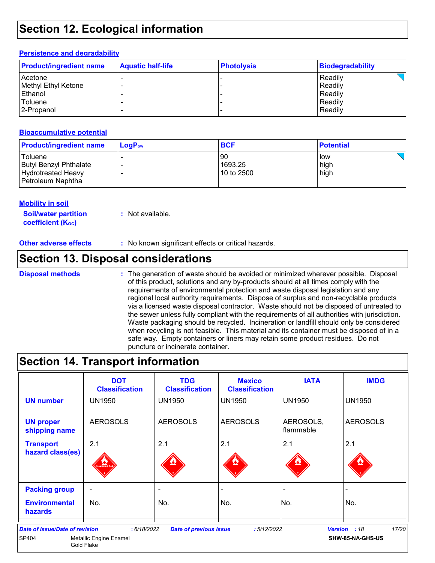### **Section 12. Ecological information**

#### **Persistence and degradability**

| <b>Product/ingredient name</b> | <b>Aquatic half-life</b> | <b>Photolysis</b> | <b>Biodegradability</b> |
|--------------------------------|--------------------------|-------------------|-------------------------|
| Acetone                        |                          |                   | Readily                 |
| Methyl Ethyl Ketone            |                          |                   | Readily                 |
| l Ethanol                      |                          |                   | Readily                 |
| Toluene                        |                          |                   | Readily                 |
| 2-Propanol                     |                          |                   | Readily                 |

#### **Bioaccumulative potential**

| <b>Product/ingredient name</b>                                                      | $\mathsf{LogP}_\mathsf{ow}$ | <b>BCF</b>                  | ∣ Potential           |
|-------------------------------------------------------------------------------------|-----------------------------|-----------------------------|-----------------------|
| Toluene<br>Butyl Benzyl Phthalate<br><b>Hydrotreated Heavy</b><br>Petroleum Naphtha |                             | 90<br>1693.25<br>10 to 2500 | l low<br>high<br>high |

#### **Mobility in soil**

**Soil/water partition coefficient (Koc)** 

**:** Not available.

**Other adverse effects** : No known significant effects or critical hazards.

### **Section 13. Disposal considerations**

#### **Disposal methods :**

The generation of waste should be avoided or minimized wherever possible. Disposal of this product, solutions and any by-products should at all times comply with the requirements of environmental protection and waste disposal legislation and any regional local authority requirements. Dispose of surplus and non-recyclable products via a licensed waste disposal contractor. Waste should not be disposed of untreated to the sewer unless fully compliant with the requirements of all authorities with jurisdiction. Waste packaging should be recycled. Incineration or landfill should only be considered when recycling is not feasible. This material and its container must be disposed of in a safe way. Empty containers or liners may retain some product residues. Do not puncture or incinerate container.

### **Section 14. Transport information**

|                                                | <b>DOT</b><br><b>Classification</b>                | <b>TDG</b><br><b>Classification</b> | <b>Mexico</b><br><b>Classification</b> | <b>IATA</b>            | <b>IMDG</b>                      |
|------------------------------------------------|----------------------------------------------------|-------------------------------------|----------------------------------------|------------------------|----------------------------------|
| <b>UN number</b>                               | <b>UN1950</b>                                      | <b>UN1950</b>                       | <b>UN1950</b>                          | <b>UN1950</b>          | <b>UN1950</b>                    |
| <b>UN proper</b><br>shipping name              | <b>AEROSOLS</b>                                    | <b>AEROSOLS</b>                     | <b>AEROSOLS</b>                        | AEROSOLS,<br>flammable | <b>AEROSOLS</b>                  |
| <b>Transport</b><br>hazard class(es)           | 2.1<br>LAMMABLE GA                                 | 2.1                                 | 2.1                                    | 2.1                    | 2.1                              |
| <b>Packing group</b>                           | ۰                                                  | ٠                                   |                                        | -                      |                                  |
| <b>Environmental</b><br><b>hazards</b>         | No.                                                | No.                                 | No.                                    | No.                    | No.                              |
| <b>Date of issue/Date of revision</b><br>SP404 | :6/18/2022<br>Metallic Engine Enamel<br>Gold Flake | <b>Date of previous issue</b>       | :5/12/2022                             | <b>Version</b>         | 17/20<br>:18<br>SHW-85-NA-GHS-US |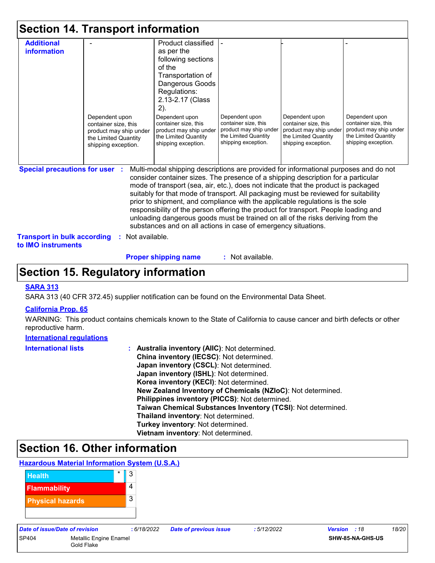|                                                                                                          | <b>Section 14. Transport information</b>                                                                        |                                                                                                                                                                                                                                                                                                                                                                                                                                                                                                                                                                                                                                                                                     |                                                                                                                 |                                                                                                                 |                                                                                                                 |
|----------------------------------------------------------------------------------------------------------|-----------------------------------------------------------------------------------------------------------------|-------------------------------------------------------------------------------------------------------------------------------------------------------------------------------------------------------------------------------------------------------------------------------------------------------------------------------------------------------------------------------------------------------------------------------------------------------------------------------------------------------------------------------------------------------------------------------------------------------------------------------------------------------------------------------------|-----------------------------------------------------------------------------------------------------------------|-----------------------------------------------------------------------------------------------------------------|-----------------------------------------------------------------------------------------------------------------|
| <b>Additional</b><br>information                                                                         | Dependent upon<br>container size, this<br>product may ship under<br>the Limited Quantity<br>shipping exception. | Product classified<br>as per the<br>following sections<br>of the<br>Transportation of<br>Dangerous Goods<br>Regulations:<br>2.13-2.17 (Class<br>$2)$ .<br>Dependent upon<br>container size, this<br>product may ship under<br>the Limited Quantity<br>shipping exception.                                                                                                                                                                                                                                                                                                                                                                                                           | Dependent upon<br>container size, this<br>product may ship under<br>the Limited Quantity<br>shipping exception. | Dependent upon<br>container size, this<br>product may ship under<br>the Limited Quantity<br>shipping exception. | Dependent upon<br>container size, this<br>product may ship under<br>the Limited Quantity<br>shipping exception. |
| <b>Special precautions for user :</b><br><b>Transport in bulk according</b><br>to <b>IMO</b> instruments | Not available.<br>÷.                                                                                            | Multi-modal shipping descriptions are provided for informational purposes and do not<br>consider container sizes. The presence of a shipping description for a particular<br>mode of transport (sea, air, etc.), does not indicate that the product is packaged<br>suitably for that mode of transport. All packaging must be reviewed for suitability<br>prior to shipment, and compliance with the applicable regulations is the sole<br>responsibility of the person offering the product for transport. People loading and<br>unloading dangerous goods must be trained on all of the risks deriving from the<br>substances and on all actions in case of emergency situations. |                                                                                                                 |                                                                                                                 |                                                                                                                 |

**Proper shipping name :**

: Not available.

### **Section 15. Regulatory information**

#### **SARA 313**

SARA 313 (40 CFR 372.45) supplier notification can be found on the Environmental Data Sheet.

#### **California Prop. 65**

WARNING: This product contains chemicals known to the State of California to cause cancer and birth defects or other reproductive harm.

#### **International regulations**

| <b>International lists</b> | : Australia inventory (AIIC): Not determined.                |
|----------------------------|--------------------------------------------------------------|
|                            | China inventory (IECSC): Not determined.                     |
|                            | Japan inventory (CSCL): Not determined.                      |
|                            | Japan inventory (ISHL): Not determined.                      |
|                            | Korea inventory (KECI): Not determined.                      |
|                            | New Zealand Inventory of Chemicals (NZIoC): Not determined.  |
|                            | Philippines inventory (PICCS): Not determined.               |
|                            | Taiwan Chemical Substances Inventory (TCSI): Not determined. |
|                            | Thailand inventory: Not determined.                          |
|                            | Turkey inventory: Not determined.                            |
|                            | Vietnam inventory: Not determined.                           |

### **Section 16. Other information**

### **Hazardous Material Information System (U.S.A.)**

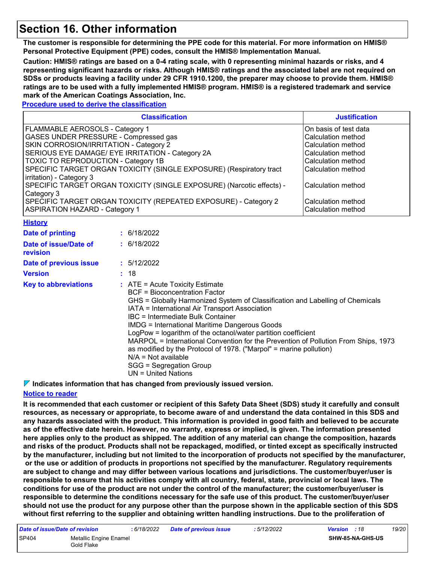### **Section 16. Other information**

**The customer is responsible for determining the PPE code for this material. For more information on HMIS® Personal Protective Equipment (PPE) codes, consult the HMIS® Implementation Manual.**

**Caution: HMIS® ratings are based on a 0-4 rating scale, with 0 representing minimal hazards or risks, and 4 representing significant hazards or risks. Although HMIS® ratings and the associated label are not required on SDSs or products leaving a facility under 29 CFR 1910.1200, the preparer may choose to provide them. HMIS® ratings are to be used with a fully implemented HMIS® program. HMIS® is a registered trademark and service mark of the American Coatings Association, Inc.**

#### **Procedure used to derive the classification**

| <b>Classification</b>                                                 | <b>Justification</b>  |
|-----------------------------------------------------------------------|-----------------------|
| FLAMMABLE AEROSOLS - Category 1                                       | On basis of test data |
| GASES UNDER PRESSURE - Compressed gas                                 | Calculation method    |
| SKIN CORROSION/IRRITATION - Category 2                                | Calculation method    |
| SERIOUS EYE DAMAGE/ EYE IRRITATION - Category 2A                      | Calculation method    |
| <b>TOXIC TO REPRODUCTION - Category 1B</b>                            | Calculation method    |
| SPECIFIC TARGET ORGAN TOXICITY (SINGLE EXPOSURE) (Respiratory tract   | Calculation method    |
| irritation) - Category 3                                              |                       |
| SPECIFIC TARGET ORGAN TOXICITY (SINGLE EXPOSURE) (Narcotic effects) - | Calculation method    |
| Category 3                                                            |                       |
| SPECIFIC TARGET ORGAN TOXICITY (REPEATED EXPOSURE) - Category 2       | Calculation method    |
| <b>ASPIRATION HAZARD - Category 1</b>                                 | Calculation method    |

| <b>History</b>                    |                                                                                                                                                                                                                                                                                                                                                                                                                                                                                                                                                                                                                       |
|-----------------------------------|-----------------------------------------------------------------------------------------------------------------------------------------------------------------------------------------------------------------------------------------------------------------------------------------------------------------------------------------------------------------------------------------------------------------------------------------------------------------------------------------------------------------------------------------------------------------------------------------------------------------------|
| <b>Date of printing</b>           | : 6/18/2022                                                                                                                                                                                                                                                                                                                                                                                                                                                                                                                                                                                                           |
| Date of issue/Date of<br>revision | : 6/18/2022                                                                                                                                                                                                                                                                                                                                                                                                                                                                                                                                                                                                           |
| Date of previous issue            | : 5/12/2022                                                                                                                                                                                                                                                                                                                                                                                                                                                                                                                                                                                                           |
| <b>Version</b>                    | : 18                                                                                                                                                                                                                                                                                                                                                                                                                                                                                                                                                                                                                  |
| <b>Key to abbreviations</b>       | $\therefore$ ATE = Acute Toxicity Estimate<br>BCF = Bioconcentration Factor<br>GHS = Globally Harmonized System of Classification and Labelling of Chemicals<br>IATA = International Air Transport Association<br>IBC = Intermediate Bulk Container<br><b>IMDG = International Maritime Dangerous Goods</b><br>LogPow = logarithm of the octanol/water partition coefficient<br>MARPOL = International Convention for the Prevention of Pollution From Ships, 1973<br>as modified by the Protocol of 1978. ("Marpol" = marine pollution)<br>$N/A = Not available$<br>SGG = Segregation Group<br>$UN = United Nations$ |

**Indicates information that has changed from previously issued version.**

#### **Notice to reader**

**It is recommended that each customer or recipient of this Safety Data Sheet (SDS) study it carefully and consult resources, as necessary or appropriate, to become aware of and understand the data contained in this SDS and any hazards associated with the product. This information is provided in good faith and believed to be accurate as of the effective date herein. However, no warranty, express or implied, is given. The information presented here applies only to the product as shipped. The addition of any material can change the composition, hazards and risks of the product. Products shall not be repackaged, modified, or tinted except as specifically instructed by the manufacturer, including but not limited to the incorporation of products not specified by the manufacturer, or the use or addition of products in proportions not specified by the manufacturer. Regulatory requirements are subject to change and may differ between various locations and jurisdictions. The customer/buyer/user is responsible to ensure that his activities comply with all country, federal, state, provincial or local laws. The conditions for use of the product are not under the control of the manufacturer; the customer/buyer/user is responsible to determine the conditions necessary for the safe use of this product. The customer/buyer/user should not use the product for any purpose other than the purpose shown in the applicable section of this SDS without first referring to the supplier and obtaining written handling instructions. Due to the proliferation of** 

| Date of issue/Date of revision |                                      | : 6/18/2022 | <b>Date of previous issue</b> | : 5/12/2022 | <b>Version</b> : 18 |                         | 19/20 |
|--------------------------------|--------------------------------------|-------------|-------------------------------|-------------|---------------------|-------------------------|-------|
| SP404                          | Metallic Engine Enamel<br>Gold Flake |             |                               |             |                     | <b>SHW-85-NA-GHS-US</b> |       |